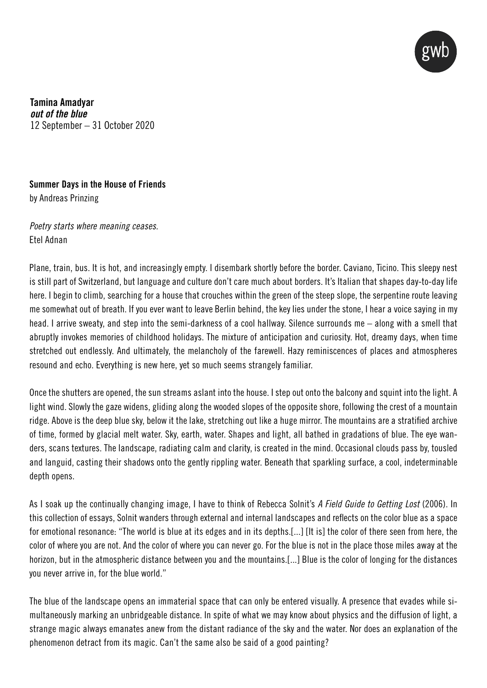

Tamina Amadyar *out of the blue* 12 September – 31 October 2020

## Summer Days in the House of Friends by Andreas Prinzing

*Poetry starts where meaning ceases.* Etel Adnan

Plane, train, bus. It is hot, and increasingly empty. I disembark shortly before the border. Caviano, Ticino. This sleepy nest is still part of Switzerland, but language and culture don't care much about borders. It's Italian that shapes day-to-day life here. I begin to climb, searching for a house that crouches within the green of the steep slope, the serpentine route leaving me somewhat out of breath. If you ever want to leave Berlin behind, the key lies under the stone, I hear a voice saying in my head. I arrive sweaty, and step into the semi-darkness of a cool hallway. Silence surrounds me – along with a smell that abruptly invokes memories of childhood holidays. The mixture of anticipation and curiosity. Hot, dreamy days, when time stretched out endlessly. And ultimately, the melancholy of the farewell. Hazy reminiscences of places and atmospheres resound and echo. Everything is new here, yet so much seems strangely familiar.

Once the shutters are opened, the sun streams aslant into the house. I step out onto the balcony and squint into the light. A light wind. Slowly the gaze widens, gliding along the wooded slopes of the opposite shore, following the crest of a mountain ridge. Above is the deep blue sky, below it the lake, stretching out like a huge mirror. The mountains are a stratified archive of time, formed by glacial melt water. Sky, earth, water. Shapes and light, all bathed in gradations of blue. The eye wanders, scans textures. The landscape, radiating calm and clarity, is created in the mind. Occasional clouds pass by, tousled and languid, casting their shadows onto the gently rippling water. Beneath that sparkling surface, a cool, indeterminable depth opens.

As I soak up the continually changing image, I have to think of Rebecca Solnit's *A Field Guide to Getting Lost* (2006). In this collection of essays, Solnit wanders through external and internal landscapes and reflects on the color blue as a space for emotional resonance: "The world is blue at its edges and in its depths.[...] [It is] the color of there seen from here, the color of where you are not. And the color of where you can never go. For the blue is not in the place those miles away at the horizon, but in the atmospheric distance between you and the mountains.[...] Blue is the color of longing for the distances you never arrive in, for the blue world."

The blue of the landscape opens an immaterial space that can only be entered visually. A presence that evades while simultaneously marking an unbridgeable distance. In spite of what we may know about physics and the diffusion of light, a strange magic always emanates anew from the distant radiance of the sky and the water. Nor does an explanation of the phenomenon detract from its magic. Can't the same also be said of a good painting?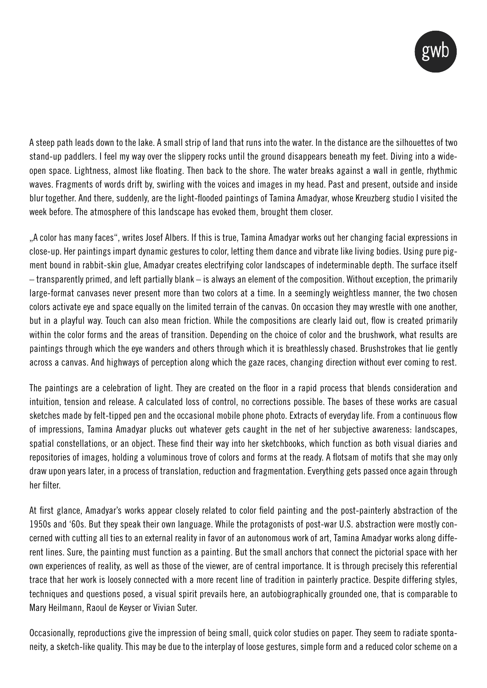

A steep path leads down to the lake. A small strip of land that runs into the water. In the distance are the silhouettes of two stand-up paddlers. I feel my way over the slippery rocks until the ground disappears beneath my feet. Diving into a wideopen space. Lightness, almost like floating. Then back to the shore. The water breaks against a wall in gentle, rhythmic waves. Fragments of words drift by, swirling with the voices and images in my head. Past and present, outside and inside blur together. And there, suddenly, are the light-flooded paintings of Tamina Amadyar, whose Kreuzberg studio I visited the week before. The atmosphere of this landscape has evoked them, brought them closer.

"A color has many faces", writes Josef Albers. If this is true, Tamina Amadyar works out her changing facial expressions in close-up. Her paintings impart dynamic gestures to color, letting them dance and vibrate like living bodies. Using pure pigment bound in rabbit-skin glue, Amadyar creates electrifying color landscapes of indeterminable depth. The surface itself – transparently primed, and left partially blank – is always an element of the composition. Without exception, the primarily large-format canvases never present more than two colors at a time. In a seemingly weightless manner, the two chosen colors activate eye and space equally on the limited terrain of the canvas. On occasion they may wrestle with one another, but in a playful way. Touch can also mean friction. While the compositions are clearly laid out, flow is created primarily within the color forms and the areas of transition. Depending on the choice of color and the brushwork, what results are paintings through which the eye wanders and others through which it is breathlessly chased. Brushstrokes that lie gently across a canvas. And highways of perception along which the gaze races, changing direction without ever coming to rest.

The paintings are a celebration of light. They are created on the floor in a rapid process that blends consideration and intuition, tension and release. A calculated loss of control, no corrections possible. The bases of these works are casual sketches made by felt-tipped pen and the occasional mobile phone photo. Extracts of everyday life. From a continuous flow of impressions, Tamina Amadyar plucks out whatever gets caught in the net of her subjective awareness: landscapes, spatial constellations, or an object. These find their way into her sketchbooks, which function as both visual diaries and repositories of images, holding a voluminous trove of colors and forms at the ready. A flotsam of motifs that she may only draw upon years later, in a process of translation, reduction and fragmentation. Everything gets passed once again through her filter.

At first glance, Amadyar's works appear closely related to color field painting and the post-painterly abstraction of the 1950s and '60s. But they speak their own language. While the protagonists of post-war U.S. abstraction were mostly concerned with cutting all ties to an external reality in favor of an autonomous work of art, Tamina Amadyar works along different lines. Sure, the painting must function as a painting. But the small anchors that connect the pictorial space with her own experiences of reality, as well as those of the viewer, are of central importance. It is through precisely this referential trace that her work is loosely connected with a more recent line of tradition in painterly practice. Despite differing styles, techniques and questions posed, a visual spirit prevails here, an autobiographically grounded one, that is comparable to Mary Heilmann, Raoul de Keyser or Vivian Suter.

Occasionally, reproductions give the impression of being small, quick color studies on paper. They seem to radiate spontaneity, a sketch-like quality. This may be due to the interplay of loose gestures, simple form and a reduced color scheme on a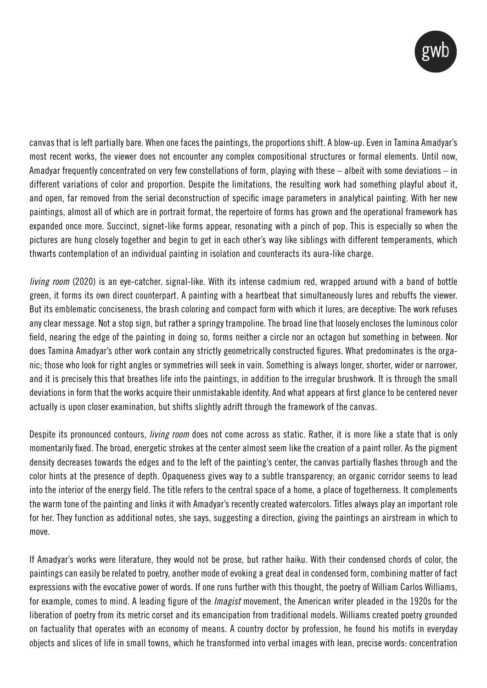

canvas that is left partially bare. When one faces the paintings, the proportions shift. A blow-up. Even in Tamina Amadyar's most recent works, the viewer does not encounter any complex compositional structures or formal elements. Until now, Amadyar frequently concentrated on very few constellations of form, playing with these – albeit with some deviations – in different variations of color and proportion. Despite the limitations, the resulting work had something playful about it, and open, far removed from the serial deconstruction of specific image parameters in analytical painting. With her new paintings, almost all of which are in portrait format, the repertoire of forms has grown and the operational framework has expanded once more. Succinct, signet-like forms appear, resonating with a pinch of pop. This is especially so when the pictures are hung closely together and begin to get in each other's way like siblings with different temperaments, which thwarts contemplation of an individual painting in isolation and counteracts its aura-like charge.

*living room* (2020) is an eye-catcher, signal-like. With its intense cadmium red, wrapped around with a band of bottle green, it forms its own direct counterpart. A painting with a heartbeat that simultaneously lures and rebuffs the viewer. But its emblematic conciseness, the brash coloring and compact form with which it lures, are deceptive: The work refuses any clear message. Not a stop sign, but rather a springy trampoline. The broad line that loosely encloses the luminous color field, nearing the edge of the painting in doing so, forms neither a circle nor an octagon but something in between. Nor does Tamina Amadyar's other work contain any strictly geometrically constructed figures. What predominates is the organic; those who look for right angles or symmetries will seek in vain. Something is always longer, shorter, wider or narrower, and it is precisely this that breathes life into the paintings, in addition to the irregular brushwork. It is through the small deviations in form that the works acquire their unmistakable identity. And what appears at first glance to be centered never actually is upon closer examination, but shifts slightly adrift through the framework of the canvas.

Despite its pronounced contours, *living room* does not come across as static. Rather, it is more like a state that is only momentarily fixed. The broad, energetic strokes at the center almost seem like the creation of a paint roller. As the pigment density decreases towards the edges and to the left of the painting's center, the canvas partially flashes through and the color hints at the presence of depth. Opaqueness gives way to a subtle transparency; an organic corridor seems to lead into the interior of the energy field. The title refers to the central space of a home, a place of togetherness. It complements the warm tone of the painting and links it with Amadyar's recently created watercolors. Titles always play an important role for her. They function as additional notes, she says, suggesting a direction, giving the paintings an airstream in which to move.

If Amadyar's works were literature, they would not be prose, but rather haiku. With their condensed chords of color, the paintings can easily be related to poetry, another mode of evoking a great deal in condensed form, combining matter of fact expressions with the evocative power of words. If one runs further with this thought, the poetry of William Carlos Williams, for example, comes to mind. A leading figure of the *Imagist* movement, the American writer pleaded in the 1920s for the liberation of poetry from its metric corset and its emancipation from traditional models. Williams created poetry grounded on factuality that operates with an economy of means. A country doctor by profession, he found his motifs in everyday objects and slices of life in small towns, which he transformed into verbal images with lean, precise words: concentration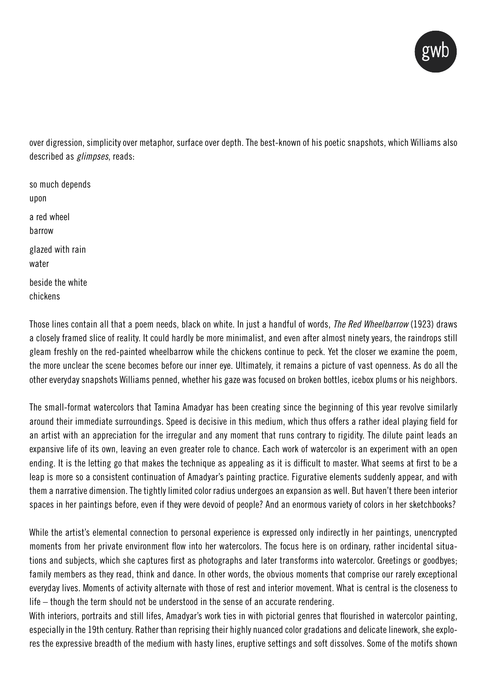

over digression, simplicity over metaphor, surface over depth. The best-known of his poetic snapshots, which Williams also described as *glimpses*, reads:

so much depends upon a red wheel barrow glazed with rain water beside the white chickens

Those lines contain all that a poem needs, black on white. In just a handful of words, *The Red Wheelbarrow* (1923) draws a closely framed slice of reality. It could hardly be more minimalist, and even after almost ninety years, the raindrops still gleam freshly on the red-painted wheelbarrow while the chickens continue to peck. Yet the closer we examine the poem, the more unclear the scene becomes before our inner eye. Ultimately, it remains a picture of vast openness. As do all the other everyday snapshots Williams penned, whether his gaze was focused on broken bottles, icebox plums or his neighbors.

The small-format watercolors that Tamina Amadyar has been creating since the beginning of this year revolve similarly around their immediate surroundings. Speed is decisive in this medium, which thus offers a rather ideal playing field for an artist with an appreciation for the irregular and any moment that runs contrary to rigidity. The dilute paint leads an expansive life of its own, leaving an even greater role to chance. Each work of watercolor is an experiment with an open ending. It is the letting go that makes the technique as appealing as it is difficult to master. What seems at first to be a leap is more so a consistent continuation of Amadyar's painting practice. Figurative elements suddenly appear, and with them a narrative dimension. The tightly limited color radius undergoes an expansion as well. But haven't there been interior spaces in her paintings before, even if they were devoid of people? And an enormous variety of colors in her sketchbooks?

While the artist's elemental connection to personal experience is expressed only indirectly in her paintings, unencrypted moments from her private environment flow into her watercolors. The focus here is on ordinary, rather incidental situations and subjects, which she captures first as photographs and later transforms into watercolor. Greetings or goodbyes; family members as they read, think and dance. In other words, the obvious moments that comprise our rarely exceptional everyday lives. Moments of activity alternate with those of rest and interior movement. What is central is the closeness to life – though the term should not be understood in the sense of an accurate rendering.

With interiors, portraits and still lifes, Amadyar's work ties in with pictorial genres that flourished in watercolor painting, especially in the 19th century. Rather than reprising their highly nuanced color gradations and delicate linework, she explores the expressive breadth of the medium with hasty lines, eruptive settings and soft dissolves. Some of the motifs shown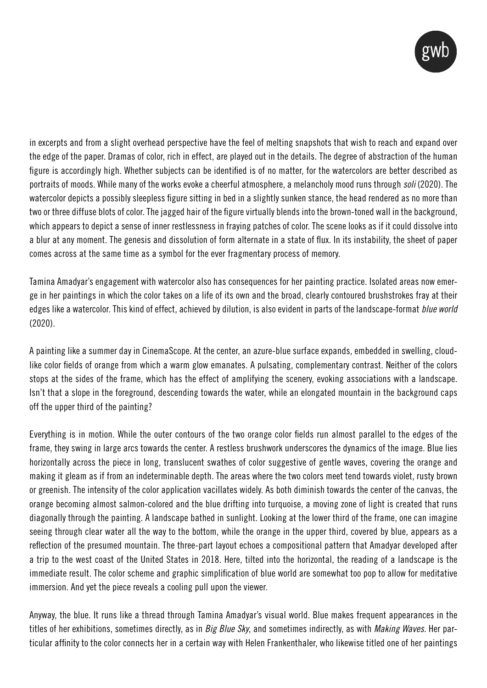

in excerpts and from a slight overhead perspective have the feel of melting snapshots that wish to reach and expand over the edge of the paper. Dramas of color, rich in effect, are played out in the details. The degree of abstraction of the human figure is accordingly high. Whether subjects can be identified is of no matter, for the watercolors are better described as portraits of moods. While many of the works evoke a cheerful atmosphere, a melancholy mood runs through *soli* (2020). The watercolor depicts a possibly sleepless figure sitting in bed in a slightly sunken stance, the head rendered as no more than two or three diffuse blots of color. The jagged hair of the figure virtually blends into the brown-toned wall in the background, which appears to depict a sense of inner restlessness in fraying patches of color. The scene looks as if it could dissolve into a blur at any moment. The genesis and dissolution of form alternate in a state of flux. In its instability, the sheet of paper comes across at the same time as a symbol for the ever fragmentary process of memory.

Tamina Amadyar's engagement with watercolor also has consequences for her painting practice. Isolated areas now emerge in her paintings in which the color takes on a life of its own and the broad, clearly contoured brushstrokes fray at their edges like a watercolor. This kind of effect, achieved by dilution, is also evident in parts of the landscape-format *blue world*  (2020).

A painting like a summer day in CinemaScope. At the center, an azure-blue surface expands, embedded in swelling, cloudlike color fields of orange from which a warm glow emanates. A pulsating, complementary contrast. Neither of the colors stops at the sides of the frame, which has the effect of amplifying the scenery, evoking associations with a landscape. Isn't that a slope in the foreground, descending towards the water, while an elongated mountain in the background caps off the upper third of the painting?

Everything is in motion. While the outer contours of the two orange color fields run almost parallel to the edges of the frame, they swing in large arcs towards the center. A restless brushwork underscores the dynamics of the image. Blue lies horizontally across the piece in long, translucent swathes of color suggestive of gentle waves, covering the orange and making it gleam as if from an indeterminable depth. The areas where the two colors meet tend towards violet, rusty brown or greenish. The intensity of the color application vacillates widely. As both diminish towards the center of the canvas, the orange becoming almost salmon-colored and the blue drifting into turquoise, a moving zone of light is created that runs diagonally through the painting. A landscape bathed in sunlight. Looking at the lower third of the frame, one can imagine seeing through clear water all the way to the bottom, while the orange in the upper third, covered by blue, appears as a reflection of the presumed mountain. The three-part layout echoes a compositional pattern that Amadyar developed after a trip to the west coast of the United States in 2018. Here, tilted into the horizontal, the reading of a landscape is the immediate result. The color scheme and graphic simplification of blue world are somewhat too pop to allow for meditative immersion. And yet the piece reveals a cooling pull upon the viewer.

Anyway, the blue. It runs like a thread through Tamina Amadyar's visual world. Blue makes frequent appearances in the titles of her exhibitions, sometimes directly, as in *Big Blue Sky*, and sometimes indirectly, as with *Making Waves*. Her particular affinity to the color connects her in a certain way with Helen Frankenthaler, who likewise titled one of her paintings